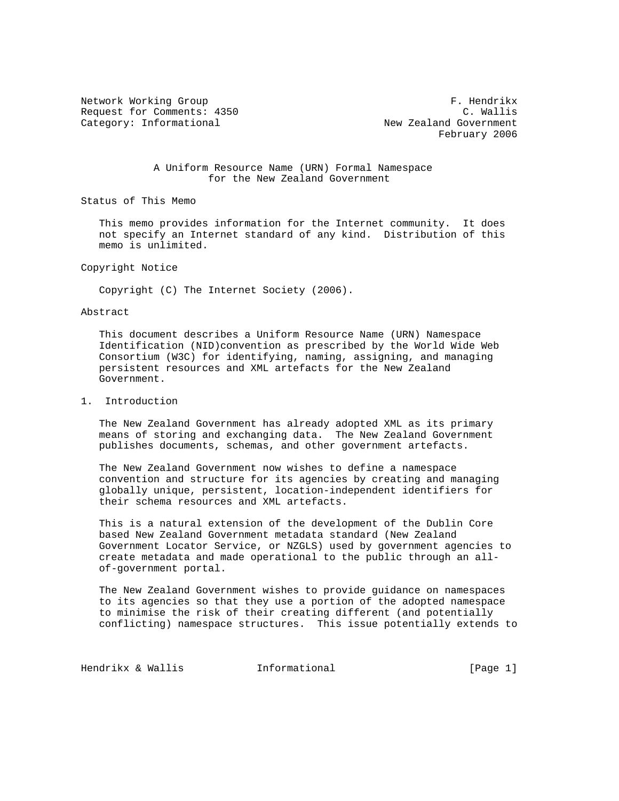Request for Comments: 4350 C. Wallis Category: Informational and Covernment New Zealand Government

Network Working Group **F. Hendrikx** February 2006

## A Uniform Resource Name (URN) Formal Namespace for the New Zealand Government

Status of This Memo

 This memo provides information for the Internet community. It does not specify an Internet standard of any kind. Distribution of this memo is unlimited.

Copyright Notice

Copyright (C) The Internet Society (2006).

## Abstract

 This document describes a Uniform Resource Name (URN) Namespace Identification (NID)convention as prescribed by the World Wide Web Consortium (W3C) for identifying, naming, assigning, and managing persistent resources and XML artefacts for the New Zealand Government.

## 1. Introduction

 The New Zealand Government has already adopted XML as its primary means of storing and exchanging data. The New Zealand Government publishes documents, schemas, and other government artefacts.

 The New Zealand Government now wishes to define a namespace convention and structure for its agencies by creating and managing globally unique, persistent, location-independent identifiers for their schema resources and XML artefacts.

 This is a natural extension of the development of the Dublin Core based New Zealand Government metadata standard (New Zealand Government Locator Service, or NZGLS) used by government agencies to create metadata and made operational to the public through an all of-government portal.

 The New Zealand Government wishes to provide guidance on namespaces to its agencies so that they use a portion of the adopted namespace to minimise the risk of their creating different (and potentially conflicting) namespace structures. This issue potentially extends to

Hendrikx & Wallis **Informational Informational** [Page 1]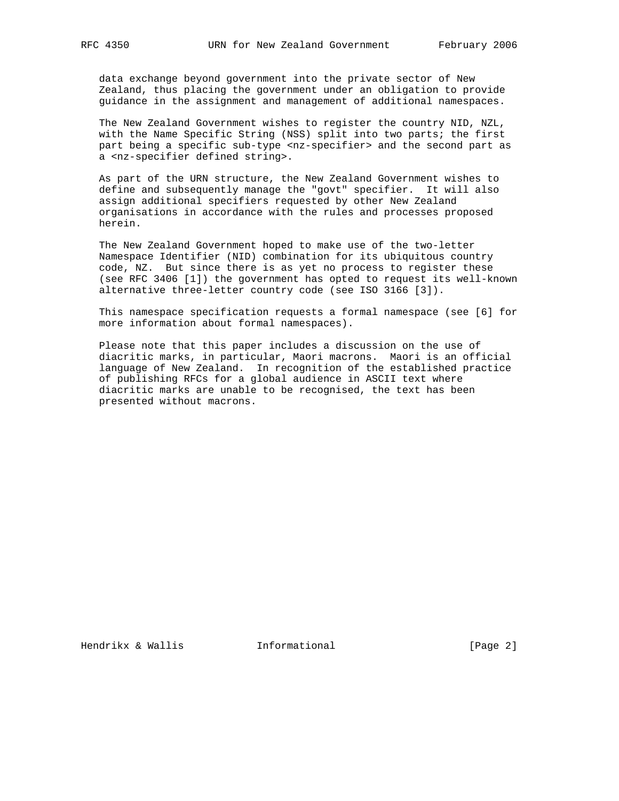data exchange beyond government into the private sector of New Zealand, thus placing the government under an obligation to provide guidance in the assignment and management of additional namespaces.

 The New Zealand Government wishes to register the country NID, NZL, with the Name Specific String (NSS) split into two parts; the first part being a specific sub-type <nz-specifier> and the second part as a <nz-specifier defined string>.

 As part of the URN structure, the New Zealand Government wishes to define and subsequently manage the "govt" specifier. It will also assign additional specifiers requested by other New Zealand organisations in accordance with the rules and processes proposed herein.

 The New Zealand Government hoped to make use of the two-letter Namespace Identifier (NID) combination for its ubiquitous country code, NZ. But since there is as yet no process to register these (see RFC 3406 [1]) the government has opted to request its well-known alternative three-letter country code (see ISO 3166 [3]).

 This namespace specification requests a formal namespace (see [6] for more information about formal namespaces).

 Please note that this paper includes a discussion on the use of diacritic marks, in particular, Maori macrons. Maori is an official language of New Zealand. In recognition of the established practice of publishing RFCs for a global audience in ASCII text where diacritic marks are unable to be recognised, the text has been presented without macrons.

Hendrikx & Wallis **Informational** [Page 2]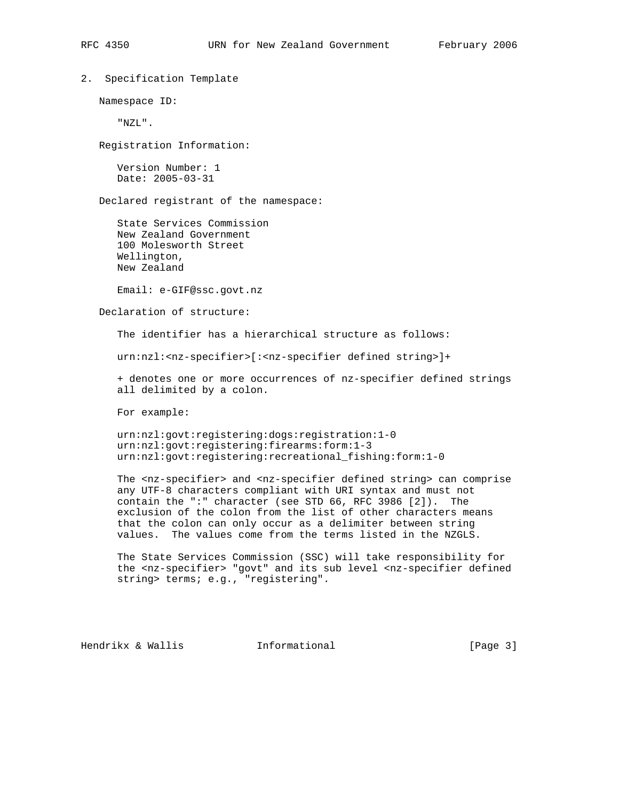2. Specification Template

Namespace ID:

"NZL".

Registration Information:

 Version Number: 1 Date: 2005-03-31

Declared registrant of the namespace:

 State Services Commission New Zealand Government 100 Molesworth Street Wellington, New Zealand

Email: e-GIF@ssc.govt.nz

Declaration of structure:

The identifier has a hierarchical structure as follows:

urn:nzl:<nz-specifier>[:<nz-specifier defined string>]+

 + denotes one or more occurrences of nz-specifier defined strings all delimited by a colon.

For example:

 urn:nzl:govt:registering:dogs:registration:1-0 urn:nzl:govt:registering:firearms:form:1-3 urn:nzl:govt:registering:recreational\_fishing:form:1-0

 The <nz-specifier> and <nz-specifier defined string> can comprise any UTF-8 characters compliant with URI syntax and must not contain the ":" character (see STD 66, RFC 3986 [2]). The exclusion of the colon from the list of other characters means that the colon can only occur as a delimiter between string values. The values come from the terms listed in the NZGLS.

 The State Services Commission (SSC) will take responsibility for the <nz-specifier> "govt" and its sub level <nz-specifier defined string> terms; e.g., "registering".

Hendrikx & Wallis **Informational** [Page 3]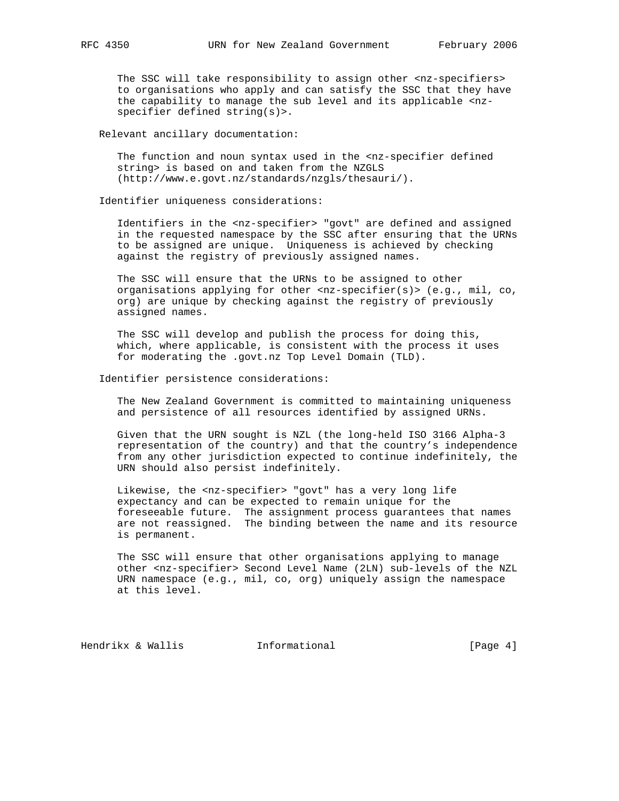The SSC will take responsibility to assign other <nz-specifiers> to organisations who apply and can satisfy the SSC that they have the capability to manage the sub level and its applicable <nz specifier defined string(s)>.

Relevant ancillary documentation:

The function and noun syntax used in the <nz-specifier defined string> is based on and taken from the NZGLS (http://www.e.govt.nz/standards/nzgls/thesauri/).

Identifier uniqueness considerations:

 Identifiers in the <nz-specifier> "govt" are defined and assigned in the requested namespace by the SSC after ensuring that the URNs to be assigned are unique. Uniqueness is achieved by checking against the registry of previously assigned names.

 The SSC will ensure that the URNs to be assigned to other organisations applying for other <nz-specifier(s)> (e.g., mil, co, org) are unique by checking against the registry of previously assigned names.

 The SSC will develop and publish the process for doing this, which, where applicable, is consistent with the process it uses for moderating the .govt.nz Top Level Domain (TLD).

Identifier persistence considerations:

 The New Zealand Government is committed to maintaining uniqueness and persistence of all resources identified by assigned URNs.

 Given that the URN sought is NZL (the long-held ISO 3166 Alpha-3 representation of the country) and that the country's independence from any other jurisdiction expected to continue indefinitely, the URN should also persist indefinitely.

Likewise, the <nz-specifier> "govt" has a very long life expectancy and can be expected to remain unique for the foreseeable future. The assignment process guarantees that names are not reassigned. The binding between the name and its resource is permanent.

 The SSC will ensure that other organisations applying to manage other <nz-specifier> Second Level Name (2LN) sub-levels of the NZL URN namespace (e.g., mil, co, org) uniquely assign the namespace at this level.

Hendrikx & Wallis **Informational** [Page 4]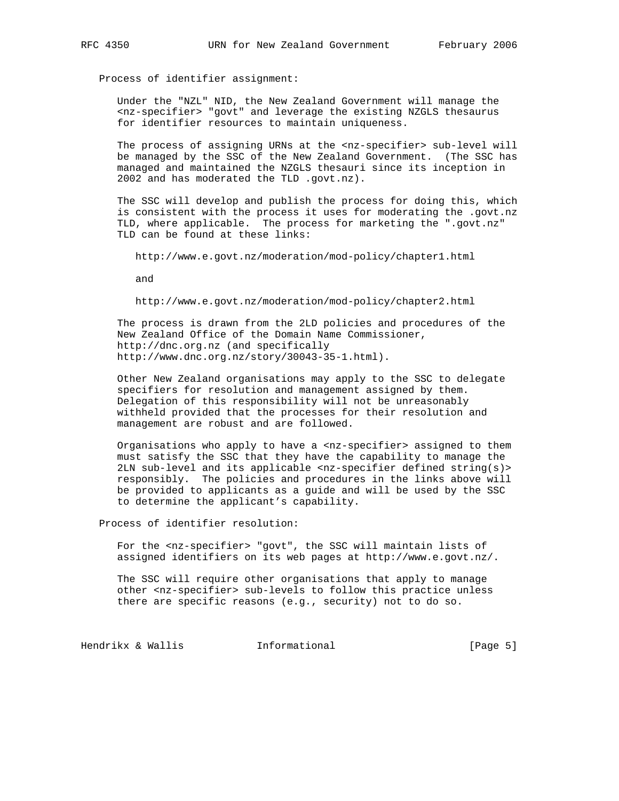Process of identifier assignment:

 Under the "NZL" NID, the New Zealand Government will manage the <nz-specifier> "govt" and leverage the existing NZGLS thesaurus for identifier resources to maintain uniqueness.

 The process of assigning URNs at the <nz-specifier> sub-level will be managed by the SSC of the New Zealand Government. (The SSC has managed and maintained the NZGLS thesauri since its inception in 2002 and has moderated the TLD .govt.nz).

 The SSC will develop and publish the process for doing this, which is consistent with the process it uses for moderating the .govt.nz TLD, where applicable. The process for marketing the ".govt.nz" TLD can be found at these links:

http://www.e.govt.nz/moderation/mod-policy/chapter1.html

and

http://www.e.govt.nz/moderation/mod-policy/chapter2.html

 The process is drawn from the 2LD policies and procedures of the New Zealand Office of the Domain Name Commissioner, http://dnc.org.nz (and specifically http://www.dnc.org.nz/story/30043-35-1.html).

 Other New Zealand organisations may apply to the SSC to delegate specifiers for resolution and management assigned by them. Delegation of this responsibility will not be unreasonably withheld provided that the processes for their resolution and management are robust and are followed.

 Organisations who apply to have a <nz-specifier> assigned to them must satisfy the SSC that they have the capability to manage the 2LN sub-level and its applicable <nz-specifier defined string(s)> responsibly. The policies and procedures in the links above will be provided to applicants as a guide and will be used by the SSC to determine the applicant's capability.

Process of identifier resolution:

 For the <nz-specifier> "govt", the SSC will maintain lists of assigned identifiers on its web pages at http://www.e.govt.nz/.

 The SSC will require other organisations that apply to manage other <nz-specifier> sub-levels to follow this practice unless there are specific reasons (e.g., security) not to do so.

Hendrikx & Wallis **Informational** [Page 5]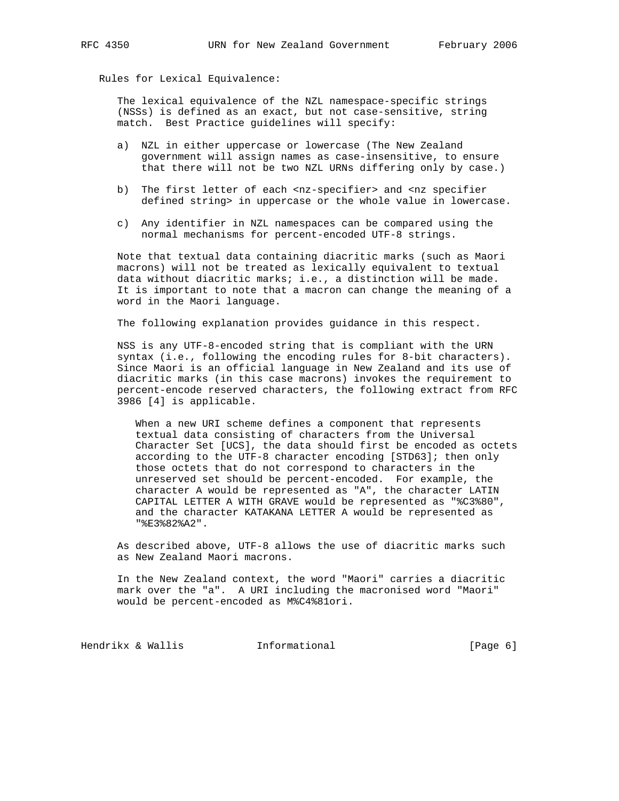Rules for Lexical Equivalence:

 The lexical equivalence of the NZL namespace-specific strings (NSSs) is defined as an exact, but not case-sensitive, string match. Best Practice guidelines will specify:

- a) NZL in either uppercase or lowercase (The New Zealand government will assign names as case-insensitive, to ensure that there will not be two NZL URNs differing only by case.)
- b) The first letter of each <nz-specifier> and <nz specifier defined string> in uppercase or the whole value in lowercase.
- c) Any identifier in NZL namespaces can be compared using the normal mechanisms for percent-encoded UTF-8 strings.

 Note that textual data containing diacritic marks (such as Maori macrons) will not be treated as lexically equivalent to textual data without diacritic marks; i.e., a distinction will be made. It is important to note that a macron can change the meaning of a word in the Maori language.

The following explanation provides guidance in this respect.

 NSS is any UTF-8-encoded string that is compliant with the URN syntax (i.e., following the encoding rules for 8-bit characters). Since Maori is an official language in New Zealand and its use of diacritic marks (in this case macrons) invokes the requirement to percent-encode reserved characters, the following extract from RFC 3986 [4] is applicable.

 When a new URI scheme defines a component that represents textual data consisting of characters from the Universal Character Set [UCS], the data should first be encoded as octets according to the UTF-8 character encoding [STD63]; then only those octets that do not correspond to characters in the unreserved set should be percent-encoded. For example, the character A would be represented as "A", the character LATIN CAPITAL LETTER A WITH GRAVE would be represented as "%C3%80", and the character KATAKANA LETTER A would be represented as "%E3%82%A2".

 As described above, UTF-8 allows the use of diacritic marks such as New Zealand Maori macrons.

 In the New Zealand context, the word "Maori" carries a diacritic mark over the "a". A URI including the macronised word "Maori" would be percent-encoded as M%C4%81ori.

Hendrikx & Wallis **Informational** [Page 6]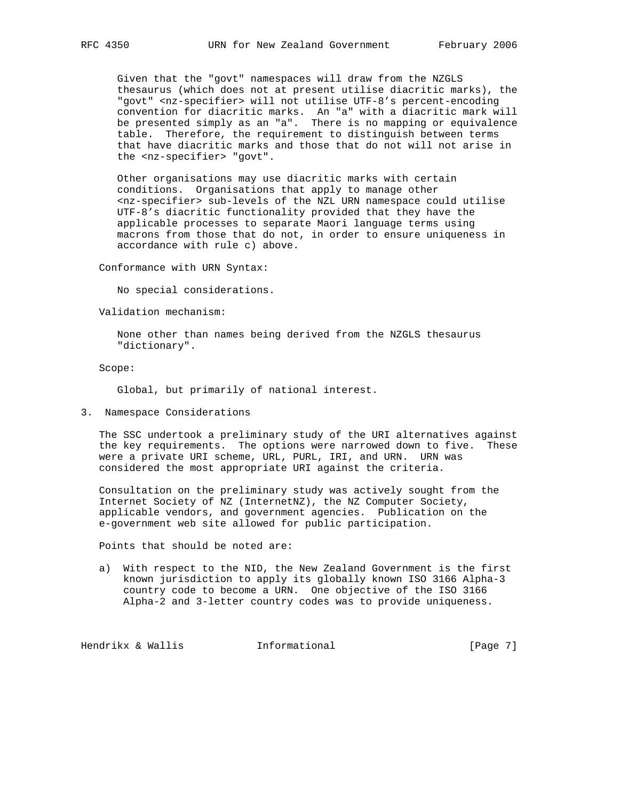Given that the "govt" namespaces will draw from the NZGLS thesaurus (which does not at present utilise diacritic marks), the "govt" <nz-specifier> will not utilise UTF-8's percent-encoding convention for diacritic marks. An "a" with a diacritic mark will be presented simply as an "a". There is no mapping or equivalence table. Therefore, the requirement to distinguish between terms that have diacritic marks and those that do not will not arise in the <nz-specifier> "govt".

 Other organisations may use diacritic marks with certain conditions. Organisations that apply to manage other <nz-specifier> sub-levels of the NZL URN namespace could utilise UTF-8's diacritic functionality provided that they have the applicable processes to separate Maori language terms using macrons from those that do not, in order to ensure uniqueness in accordance with rule c) above.

Conformance with URN Syntax:

No special considerations.

Validation mechanism:

 None other than names being derived from the NZGLS thesaurus "dictionary".

Scope:

Global, but primarily of national interest.

3. Namespace Considerations

 The SSC undertook a preliminary study of the URI alternatives against the key requirements. The options were narrowed down to five. These were a private URI scheme, URL, PURL, IRI, and URN. URN was considered the most appropriate URI against the criteria.

 Consultation on the preliminary study was actively sought from the Internet Society of NZ (InternetNZ), the NZ Computer Society, applicable vendors, and government agencies. Publication on the e-government web site allowed for public participation.

Points that should be noted are:

 a) With respect to the NID, the New Zealand Government is the first known jurisdiction to apply its globally known ISO 3166 Alpha-3 country code to become a URN. One objective of the ISO 3166 Alpha-2 and 3-letter country codes was to provide uniqueness.

Hendrikx & Wallis **Informational** [Page 7]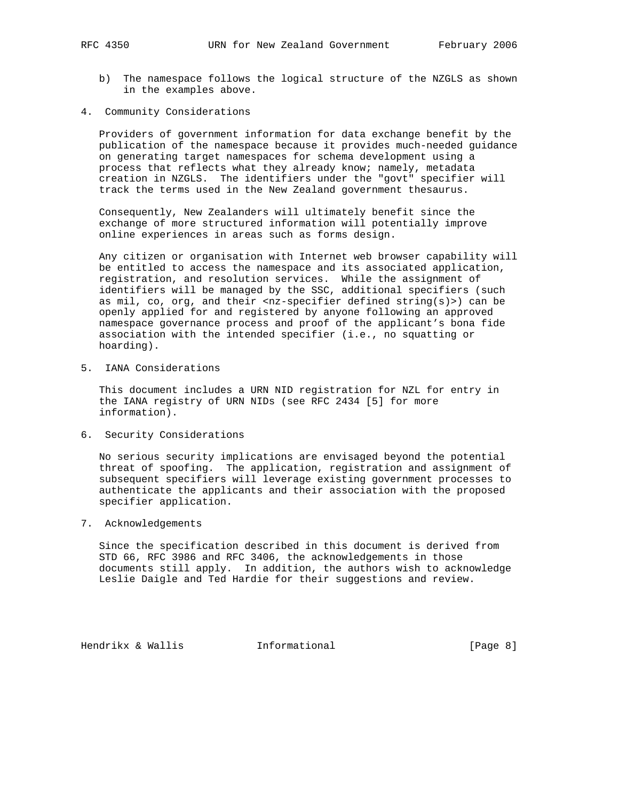- b) The namespace follows the logical structure of the NZGLS as shown in the examples above.
- 4. Community Considerations

 Providers of government information for data exchange benefit by the publication of the namespace because it provides much-needed guidance on generating target namespaces for schema development using a process that reflects what they already know; namely, metadata creation in NZGLS. The identifiers under the "govt" specifier will track the terms used in the New Zealand government thesaurus.

 Consequently, New Zealanders will ultimately benefit since the exchange of more structured information will potentially improve online experiences in areas such as forms design.

 Any citizen or organisation with Internet web browser capability will be entitled to access the namespace and its associated application, registration, and resolution services. While the assignment of identifiers will be managed by the SSC, additional specifiers (such as  $mil, co, org, and their <sub>1</sub>–specific reflection defined string(s)>) can be$  openly applied for and registered by anyone following an approved namespace governance process and proof of the applicant's bona fide association with the intended specifier (i.e., no squatting or hoarding).

5. IANA Considerations

 This document includes a URN NID registration for NZL for entry in the IANA registry of URN NIDs (see RFC 2434 [5] for more information).

6. Security Considerations

 No serious security implications are envisaged beyond the potential threat of spoofing. The application, registration and assignment of subsequent specifiers will leverage existing government processes to authenticate the applicants and their association with the proposed specifier application.

7. Acknowledgements

 Since the specification described in this document is derived from STD 66, RFC 3986 and RFC 3406, the acknowledgements in those documents still apply. In addition, the authors wish to acknowledge Leslie Daigle and Ted Hardie for their suggestions and review.

Hendrikx & Wallis **Informational** [Page 8]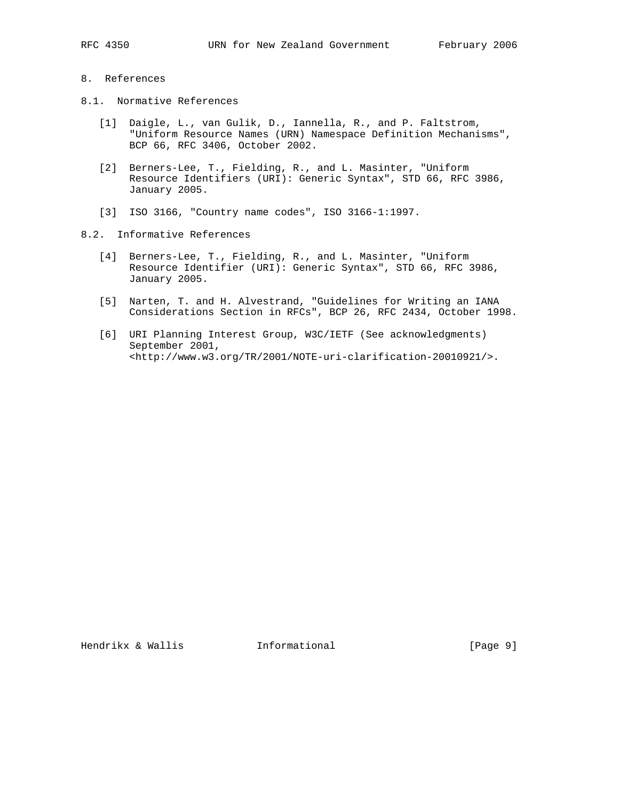## 8. References

- 8.1. Normative References
	- [1] Daigle, L., van Gulik, D., Iannella, R., and P. Faltstrom, "Uniform Resource Names (URN) Namespace Definition Mechanisms", BCP 66, RFC 3406, October 2002.
	- [2] Berners-Lee, T., Fielding, R., and L. Masinter, "Uniform Resource Identifiers (URI): Generic Syntax", STD 66, RFC 3986, January 2005.
	- [3] ISO 3166, "Country name codes", ISO 3166-1:1997.
- 8.2. Informative References
	- [4] Berners-Lee, T., Fielding, R., and L. Masinter, "Uniform Resource Identifier (URI): Generic Syntax", STD 66, RFC 3986, January 2005.
	- [5] Narten, T. and H. Alvestrand, "Guidelines for Writing an IANA Considerations Section in RFCs", BCP 26, RFC 2434, October 1998.
	- [6] URI Planning Interest Group, W3C/IETF (See acknowledgments) September 2001, <http://www.w3.org/TR/2001/NOTE-uri-clarification-20010921/>.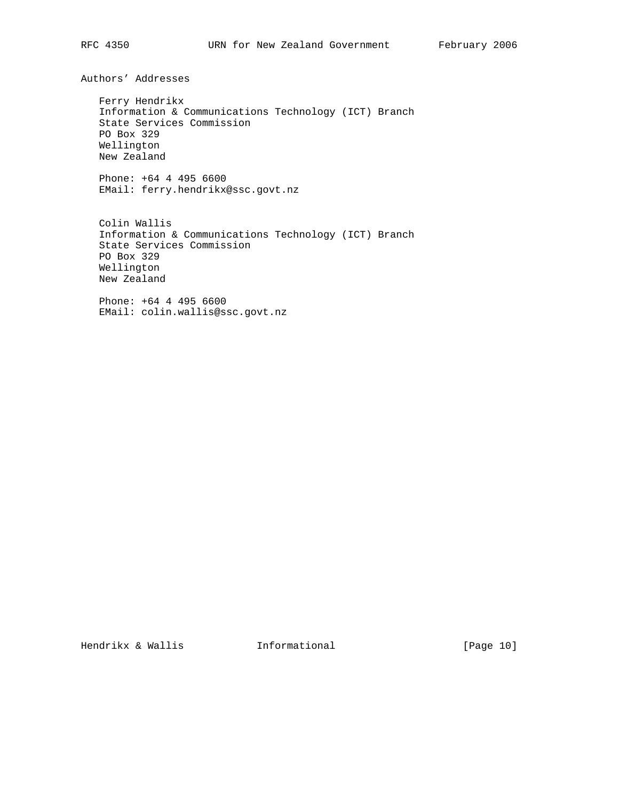Authors' Addresses

 Ferry Hendrikx Information & Communications Technology (ICT) Branch State Services Commission PO Box 329 Wellington New Zealand

 Phone: +64 4 495 6600 EMail: ferry.hendrikx@ssc.govt.nz

 Colin Wallis Information & Communications Technology (ICT) Branch State Services Commission PO Box 329 Wellington New Zealand

 Phone: +64 4 495 6600 EMail: colin.wallis@ssc.govt.nz